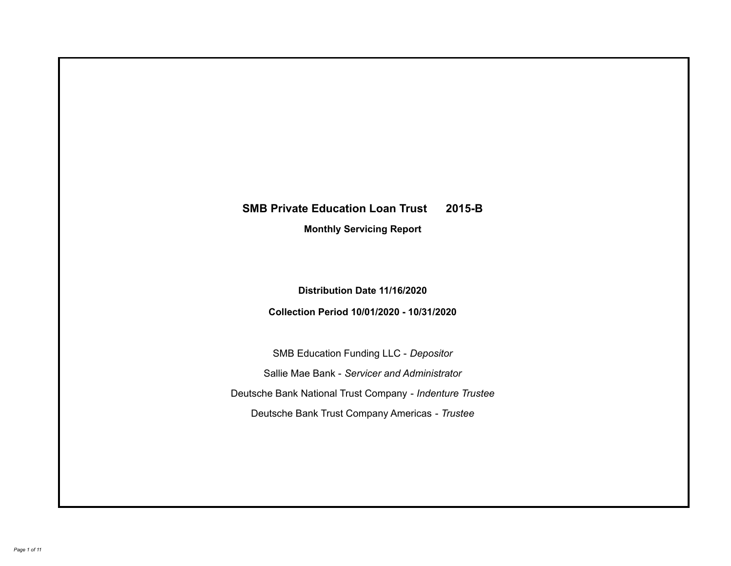# **SMB Private Education Loan Trust 2015-B Monthly Servicing Report**

**Distribution Date 11/16/2020**

**Collection Period 10/01/2020 - 10/31/2020**

SMB Education Funding LLC - *Depositor* Sallie Mae Bank - *Servicer and Administrator* Deutsche Bank National Trust Company - *Indenture Trustee* Deutsche Bank Trust Company Americas - *Trustee*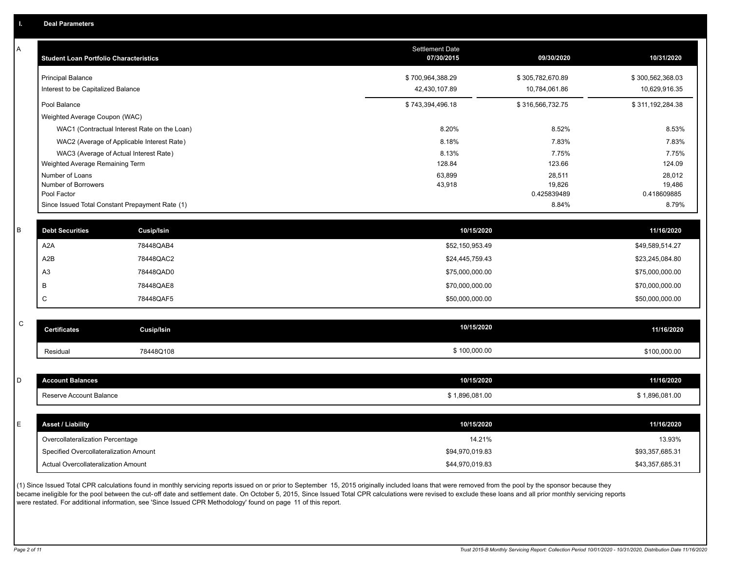A

| Α           | <b>Student Loan Portfolio Characteristics</b> |                                                 | <b>Settlement Date</b><br>07/30/2015 | 09/30/2020            | 10/31/2020            |
|-------------|-----------------------------------------------|-------------------------------------------------|--------------------------------------|-----------------------|-----------------------|
|             | <b>Principal Balance</b>                      |                                                 | \$700,964,388.29                     | \$305,782,670.89      | \$300,562,368.03      |
|             | Interest to be Capitalized Balance            |                                                 | 42,430,107.89                        | 10,784,061.86         | 10,629,916.35         |
|             | Pool Balance                                  |                                                 | \$743,394,496.18                     | \$316,566,732.75      | \$311,192,284.38      |
|             | Weighted Average Coupon (WAC)                 |                                                 |                                      |                       |                       |
|             |                                               | WAC1 (Contractual Interest Rate on the Loan)    | 8.20%                                | 8.52%                 | 8.53%                 |
|             |                                               | WAC2 (Average of Applicable Interest Rate)      | 8.18%                                | 7.83%                 | 7.83%                 |
|             |                                               | WAC3 (Average of Actual Interest Rate)          | 8.13%                                | 7.75%                 | 7.75%                 |
|             | Weighted Average Remaining Term               |                                                 | 128.84                               | 123.66                | 124.09                |
|             | Number of Loans                               |                                                 | 63,899                               | 28,511                | 28,012                |
|             | Number of Borrowers<br>Pool Factor            |                                                 | 43,918                               | 19,826<br>0.425839489 | 19,486<br>0.418609885 |
|             |                                               | Since Issued Total Constant Prepayment Rate (1) |                                      | 8.84%                 | 8.79%                 |
|             |                                               |                                                 |                                      |                       |                       |
| В           | <b>Debt Securities</b>                        | Cusip/Isin                                      | 10/15/2020                           |                       | 11/16/2020            |
|             | A <sub>2</sub> A                              | 78448QAB4                                       | \$52,150,953.49                      |                       | \$49,589,514.27       |
|             | A <sub>2</sub> B                              | 78448QAC2                                       | \$24,445,759.43                      |                       | \$23,245,084.80       |
|             | A <sub>3</sub>                                | 78448QAD0                                       | \$75,000,000.00                      |                       | \$75,000,000.00       |
|             | B                                             | 78448QAE8                                       | \$70,000,000.00                      |                       | \$70,000,000.00       |
|             | $\mathsf C$                                   | 78448QAF5                                       | \$50,000,000.00                      |                       | \$50,000,000.00       |
| $\mathsf C$ |                                               |                                                 |                                      |                       |                       |
|             | <b>Certificates</b>                           | <b>Cusip/Isin</b>                               | 10/15/2020                           |                       | 11/16/2020            |
|             | Residual                                      | 78448Q108                                       | \$100,000.00                         |                       | \$100,000.00          |
|             |                                               |                                                 |                                      |                       |                       |
| D           | <b>Account Balances</b>                       |                                                 | 10/15/2020                           |                       | 11/16/2020            |
|             | Reserve Account Balance                       |                                                 | \$1,896,081.00                       |                       | \$1,896,081.00        |
|             |                                               |                                                 |                                      |                       |                       |
| E.          | <b>Asset / Liability</b>                      |                                                 | 10/15/2020                           |                       | 11/16/2020            |
|             | Overcollateralization Percentage              |                                                 | 14.21%                               |                       | 13.93%                |
|             | Specified Overcollateralization Amount        |                                                 | \$94,970,019.83                      |                       | \$93,357,685.31       |
|             | Actual Overcollateralization Amount           |                                                 | \$44,970,019.83                      |                       | \$43,357,685.31       |

(1) Since Issued Total CPR calculations found in monthly servicing reports issued on or prior to September 15, 2015 originally included loans that were removed from the pool by the sponsor because they .<br>became ineligible for the pool between the cut-off date and settlement date. On October 5, 2015, Since Issued Total CPR calculations were revised to exclude these loans and all prior monthly servicing reports were restated. For additional information, see 'Since Issued CPR Methodology' found on page 11 of this report.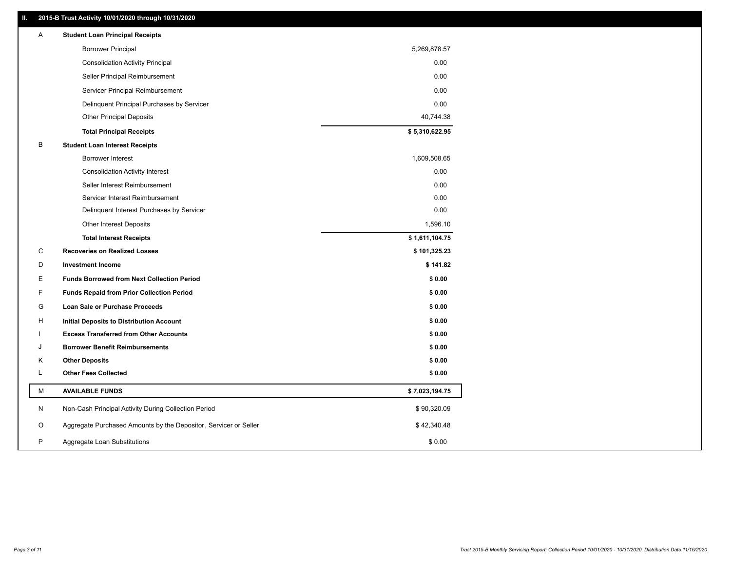## **II. 2015-B Trust Activity 10/01/2020 through 10/31/2020**

| <b>Borrower Principal</b><br>5,269,878.57<br>0.00<br><b>Consolidation Activity Principal</b><br>0.00<br>Seller Principal Reimbursement<br>Servicer Principal Reimbursement<br>0.00<br>0.00<br>Delinquent Principal Purchases by Servicer<br><b>Other Principal Deposits</b><br>40,744.38<br>\$5,310,622.95<br><b>Total Principal Receipts</b><br>B<br><b>Student Loan Interest Receipts</b><br>1,609,508.65<br>Borrower Interest<br>0.00<br><b>Consolidation Activity Interest</b><br>0.00<br>Seller Interest Reimbursement<br>Servicer Interest Reimbursement<br>0.00<br>0.00<br>Delinquent Interest Purchases by Servicer<br>1,596.10<br><b>Other Interest Deposits</b><br>\$1,611,104.75<br><b>Total Interest Receipts</b><br>С<br><b>Recoveries on Realized Losses</b><br>\$101,325.23<br>\$141.82<br>D<br><b>Investment Income</b><br>Е<br><b>Funds Borrowed from Next Collection Period</b><br>\$0.00<br>F<br><b>Funds Repaid from Prior Collection Period</b><br>\$0.00<br>G<br>\$0.00<br><b>Loan Sale or Purchase Proceeds</b><br>\$0.00<br>н<br>Initial Deposits to Distribution Account<br><b>Excess Transferred from Other Accounts</b><br>\$0.00<br><b>Borrower Benefit Reimbursements</b><br>\$0.00<br>J<br>Κ<br><b>Other Deposits</b><br>\$0.00<br>L<br><b>Other Fees Collected</b><br>\$0.00<br>М<br><b>AVAILABLE FUNDS</b><br>\$7,023,194.75<br>N<br>Non-Cash Principal Activity During Collection Period<br>\$90,320.09<br>Aggregate Purchased Amounts by the Depositor, Servicer or Seller<br>O<br>\$42,340.48<br>P<br>\$0.00<br>Aggregate Loan Substitutions | Α | <b>Student Loan Principal Receipts</b> |  |
|---------------------------------------------------------------------------------------------------------------------------------------------------------------------------------------------------------------------------------------------------------------------------------------------------------------------------------------------------------------------------------------------------------------------------------------------------------------------------------------------------------------------------------------------------------------------------------------------------------------------------------------------------------------------------------------------------------------------------------------------------------------------------------------------------------------------------------------------------------------------------------------------------------------------------------------------------------------------------------------------------------------------------------------------------------------------------------------------------------------------------------------------------------------------------------------------------------------------------------------------------------------------------------------------------------------------------------------------------------------------------------------------------------------------------------------------------------------------------------------------------------------------------------------------------------------------------------|---|----------------------------------------|--|
|                                                                                                                                                                                                                                                                                                                                                                                                                                                                                                                                                                                                                                                                                                                                                                                                                                                                                                                                                                                                                                                                                                                                                                                                                                                                                                                                                                                                                                                                                                                                                                                 |   |                                        |  |
|                                                                                                                                                                                                                                                                                                                                                                                                                                                                                                                                                                                                                                                                                                                                                                                                                                                                                                                                                                                                                                                                                                                                                                                                                                                                                                                                                                                                                                                                                                                                                                                 |   |                                        |  |
|                                                                                                                                                                                                                                                                                                                                                                                                                                                                                                                                                                                                                                                                                                                                                                                                                                                                                                                                                                                                                                                                                                                                                                                                                                                                                                                                                                                                                                                                                                                                                                                 |   |                                        |  |
|                                                                                                                                                                                                                                                                                                                                                                                                                                                                                                                                                                                                                                                                                                                                                                                                                                                                                                                                                                                                                                                                                                                                                                                                                                                                                                                                                                                                                                                                                                                                                                                 |   |                                        |  |
|                                                                                                                                                                                                                                                                                                                                                                                                                                                                                                                                                                                                                                                                                                                                                                                                                                                                                                                                                                                                                                                                                                                                                                                                                                                                                                                                                                                                                                                                                                                                                                                 |   |                                        |  |
|                                                                                                                                                                                                                                                                                                                                                                                                                                                                                                                                                                                                                                                                                                                                                                                                                                                                                                                                                                                                                                                                                                                                                                                                                                                                                                                                                                                                                                                                                                                                                                                 |   |                                        |  |
|                                                                                                                                                                                                                                                                                                                                                                                                                                                                                                                                                                                                                                                                                                                                                                                                                                                                                                                                                                                                                                                                                                                                                                                                                                                                                                                                                                                                                                                                                                                                                                                 |   |                                        |  |
|                                                                                                                                                                                                                                                                                                                                                                                                                                                                                                                                                                                                                                                                                                                                                                                                                                                                                                                                                                                                                                                                                                                                                                                                                                                                                                                                                                                                                                                                                                                                                                                 |   |                                        |  |
|                                                                                                                                                                                                                                                                                                                                                                                                                                                                                                                                                                                                                                                                                                                                                                                                                                                                                                                                                                                                                                                                                                                                                                                                                                                                                                                                                                                                                                                                                                                                                                                 |   |                                        |  |
|                                                                                                                                                                                                                                                                                                                                                                                                                                                                                                                                                                                                                                                                                                                                                                                                                                                                                                                                                                                                                                                                                                                                                                                                                                                                                                                                                                                                                                                                                                                                                                                 |   |                                        |  |
|                                                                                                                                                                                                                                                                                                                                                                                                                                                                                                                                                                                                                                                                                                                                                                                                                                                                                                                                                                                                                                                                                                                                                                                                                                                                                                                                                                                                                                                                                                                                                                                 |   |                                        |  |
|                                                                                                                                                                                                                                                                                                                                                                                                                                                                                                                                                                                                                                                                                                                                                                                                                                                                                                                                                                                                                                                                                                                                                                                                                                                                                                                                                                                                                                                                                                                                                                                 |   |                                        |  |
|                                                                                                                                                                                                                                                                                                                                                                                                                                                                                                                                                                                                                                                                                                                                                                                                                                                                                                                                                                                                                                                                                                                                                                                                                                                                                                                                                                                                                                                                                                                                                                                 |   |                                        |  |
|                                                                                                                                                                                                                                                                                                                                                                                                                                                                                                                                                                                                                                                                                                                                                                                                                                                                                                                                                                                                                                                                                                                                                                                                                                                                                                                                                                                                                                                                                                                                                                                 |   |                                        |  |
|                                                                                                                                                                                                                                                                                                                                                                                                                                                                                                                                                                                                                                                                                                                                                                                                                                                                                                                                                                                                                                                                                                                                                                                                                                                                                                                                                                                                                                                                                                                                                                                 |   |                                        |  |
|                                                                                                                                                                                                                                                                                                                                                                                                                                                                                                                                                                                                                                                                                                                                                                                                                                                                                                                                                                                                                                                                                                                                                                                                                                                                                                                                                                                                                                                                                                                                                                                 |   |                                        |  |
|                                                                                                                                                                                                                                                                                                                                                                                                                                                                                                                                                                                                                                                                                                                                                                                                                                                                                                                                                                                                                                                                                                                                                                                                                                                                                                                                                                                                                                                                                                                                                                                 |   |                                        |  |
|                                                                                                                                                                                                                                                                                                                                                                                                                                                                                                                                                                                                                                                                                                                                                                                                                                                                                                                                                                                                                                                                                                                                                                                                                                                                                                                                                                                                                                                                                                                                                                                 |   |                                        |  |
|                                                                                                                                                                                                                                                                                                                                                                                                                                                                                                                                                                                                                                                                                                                                                                                                                                                                                                                                                                                                                                                                                                                                                                                                                                                                                                                                                                                                                                                                                                                                                                                 |   |                                        |  |
|                                                                                                                                                                                                                                                                                                                                                                                                                                                                                                                                                                                                                                                                                                                                                                                                                                                                                                                                                                                                                                                                                                                                                                                                                                                                                                                                                                                                                                                                                                                                                                                 |   |                                        |  |
|                                                                                                                                                                                                                                                                                                                                                                                                                                                                                                                                                                                                                                                                                                                                                                                                                                                                                                                                                                                                                                                                                                                                                                                                                                                                                                                                                                                                                                                                                                                                                                                 |   |                                        |  |
|                                                                                                                                                                                                                                                                                                                                                                                                                                                                                                                                                                                                                                                                                                                                                                                                                                                                                                                                                                                                                                                                                                                                                                                                                                                                                                                                                                                                                                                                                                                                                                                 |   |                                        |  |
|                                                                                                                                                                                                                                                                                                                                                                                                                                                                                                                                                                                                                                                                                                                                                                                                                                                                                                                                                                                                                                                                                                                                                                                                                                                                                                                                                                                                                                                                                                                                                                                 |   |                                        |  |
|                                                                                                                                                                                                                                                                                                                                                                                                                                                                                                                                                                                                                                                                                                                                                                                                                                                                                                                                                                                                                                                                                                                                                                                                                                                                                                                                                                                                                                                                                                                                                                                 |   |                                        |  |
|                                                                                                                                                                                                                                                                                                                                                                                                                                                                                                                                                                                                                                                                                                                                                                                                                                                                                                                                                                                                                                                                                                                                                                                                                                                                                                                                                                                                                                                                                                                                                                                 |   |                                        |  |
|                                                                                                                                                                                                                                                                                                                                                                                                                                                                                                                                                                                                                                                                                                                                                                                                                                                                                                                                                                                                                                                                                                                                                                                                                                                                                                                                                                                                                                                                                                                                                                                 |   |                                        |  |
|                                                                                                                                                                                                                                                                                                                                                                                                                                                                                                                                                                                                                                                                                                                                                                                                                                                                                                                                                                                                                                                                                                                                                                                                                                                                                                                                                                                                                                                                                                                                                                                 |   |                                        |  |
|                                                                                                                                                                                                                                                                                                                                                                                                                                                                                                                                                                                                                                                                                                                                                                                                                                                                                                                                                                                                                                                                                                                                                                                                                                                                                                                                                                                                                                                                                                                                                                                 |   |                                        |  |
|                                                                                                                                                                                                                                                                                                                                                                                                                                                                                                                                                                                                                                                                                                                                                                                                                                                                                                                                                                                                                                                                                                                                                                                                                                                                                                                                                                                                                                                                                                                                                                                 |   |                                        |  |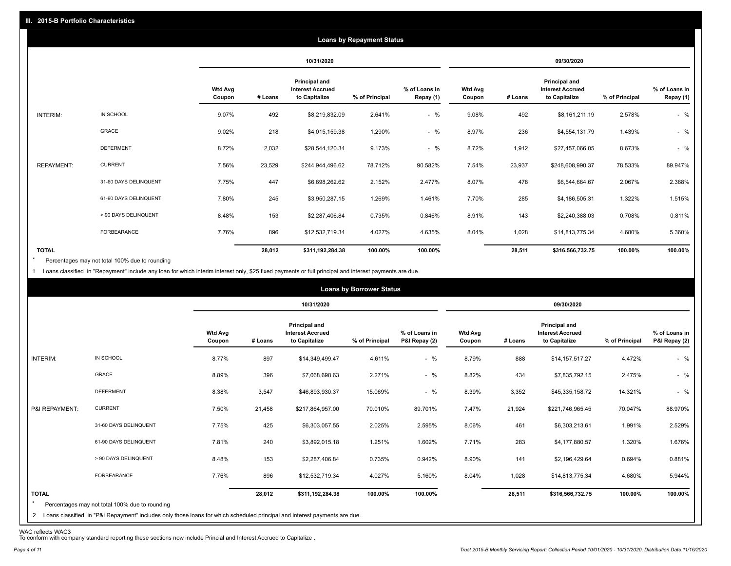|                   |                       |                          |         |                                                           | <b>Loans by Repayment Status</b> |                            |                          |         |                                                                  |                |                            |
|-------------------|-----------------------|--------------------------|---------|-----------------------------------------------------------|----------------------------------|----------------------------|--------------------------|---------|------------------------------------------------------------------|----------------|----------------------------|
|                   |                       |                          |         | 10/31/2020                                                |                                  |                            |                          |         | 09/30/2020                                                       |                |                            |
|                   |                       | <b>Wtd Avg</b><br>Coupon | # Loans | Principal and<br><b>Interest Accrued</b><br>to Capitalize | % of Principal                   | % of Loans in<br>Repay (1) | <b>Wtd Avg</b><br>Coupon | # Loans | <b>Principal and</b><br><b>Interest Accrued</b><br>to Capitalize | % of Principal | % of Loans in<br>Repay (1) |
| INTERIM:          | IN SCHOOL             | 9.07%                    | 492     | \$8,219,832.09                                            | 2.641%                           | $-$ %                      | 9.08%                    | 492     | \$8,161,211.19                                                   | 2.578%         | $-$ %                      |
|                   | <b>GRACE</b>          | 9.02%                    | 218     | \$4,015,159.38                                            | 1.290%                           | $-$ %                      | 8.97%                    | 236     | \$4,554,131.79                                                   | 1.439%         | $-$ %                      |
|                   | <b>DEFERMENT</b>      | 8.72%                    | 2,032   | \$28,544,120.34                                           | 9.173%                           | $-$ %                      | 8.72%                    | 1,912   | \$27,457,066.05                                                  | 8.673%         | $-$ %                      |
| <b>REPAYMENT:</b> | <b>CURRENT</b>        | 7.56%                    | 23,529  | \$244,944,496.62                                          | 78.712%                          | 90.582%                    | 7.54%                    | 23,937  | \$248,608,990.37                                                 | 78.533%        | 89.947%                    |
|                   | 31-60 DAYS DELINQUENT | 7.75%                    | 447     | \$6,698,262.62                                            | 2.152%                           | 2.477%                     | 8.07%                    | 478     | \$6,544,664.67                                                   | 2.067%         | 2.368%                     |
|                   | 61-90 DAYS DELINQUENT | 7.80%                    | 245     | \$3,950,287.15                                            | 1.269%                           | 1.461%                     | 7.70%                    | 285     | \$4,186,505.31                                                   | 1.322%         | 1.515%                     |
|                   | > 90 DAYS DELINQUENT  | 8.48%                    | 153     | \$2,287,406.84                                            | 0.735%                           | 0.846%                     | 8.91%                    | 143     | \$2,240,388.03                                                   | 0.708%         | 0.811%                     |
|                   | <b>FORBEARANCE</b>    | 7.76%                    | 896     | \$12,532,719.34                                           | 4.027%                           | 4.635%                     | 8.04%                    | 1,028   | \$14,813,775.34                                                  | 4.680%         | 5.360%                     |
| <b>TOTAL</b>      |                       |                          | 28,012  | \$311,192,284.38                                          | 100.00%                          | 100.00%                    |                          | 28,511  | \$316,566,732.75                                                 | 100.00%        | 100.00%                    |

Percentages may not total 100% due to rounding  $\star$ 

1 Loans classified in "Repayment" include any loan for which interim interest only, \$25 fixed payments or full principal and interest payments are due.

|                         |                                                                                                                                                                                |                          |         |                                                           | <b>Loans by Borrower Status</b> |                                |                          |         |                                                                  |                |                                |
|-------------------------|--------------------------------------------------------------------------------------------------------------------------------------------------------------------------------|--------------------------|---------|-----------------------------------------------------------|---------------------------------|--------------------------------|--------------------------|---------|------------------------------------------------------------------|----------------|--------------------------------|
|                         |                                                                                                                                                                                |                          |         | 10/31/2020                                                |                                 |                                |                          |         | 09/30/2020                                                       |                |                                |
|                         |                                                                                                                                                                                | <b>Wtd Avg</b><br>Coupon | # Loans | Principal and<br><b>Interest Accrued</b><br>to Capitalize | % of Principal                  | % of Loans in<br>P&I Repay (2) | <b>Wtd Avg</b><br>Coupon | # Loans | <b>Principal and</b><br><b>Interest Accrued</b><br>to Capitalize | % of Principal | % of Loans in<br>P&I Repay (2) |
| INTERIM:                | IN SCHOOL                                                                                                                                                                      | 8.77%                    | 897     | \$14,349,499.47                                           | 4.611%                          | $-$ %                          | 8.79%                    | 888     | \$14,157,517.27                                                  | 4.472%         | $-$ %                          |
|                         | GRACE                                                                                                                                                                          | 8.89%                    | 396     | \$7,068,698.63                                            | 2.271%                          | $-$ %                          | 8.82%                    | 434     | \$7,835,792.15                                                   | 2.475%         | $-$ %                          |
|                         | <b>DEFERMENT</b>                                                                                                                                                               | 8.38%                    | 3,547   | \$46,893,930.37                                           | 15.069%                         | $-$ %                          | 8.39%                    | 3,352   | \$45,335,158.72                                                  | 14.321%        | $-$ %                          |
| P&I REPAYMENT:          | <b>CURRENT</b>                                                                                                                                                                 | 7.50%                    | 21,458  | \$217,864,957.00                                          | 70.010%                         | 89.701%                        | 7.47%                    | 21,924  | \$221,746,965.45                                                 | 70.047%        | 88.970%                        |
|                         | 31-60 DAYS DELINQUENT                                                                                                                                                          | 7.75%                    | 425     | \$6,303,057.55                                            | 2.025%                          | 2.595%                         | 8.06%                    | 461     | \$6,303,213.61                                                   | 1.991%         | 2.529%                         |
|                         | 61-90 DAYS DELINQUENT                                                                                                                                                          | 7.81%                    | 240     | \$3,892,015.18                                            | 1.251%                          | 1.602%                         | 7.71%                    | 283     | \$4,177,880.57                                                   | 1.320%         | 1.676%                         |
|                         | > 90 DAYS DELINQUENT                                                                                                                                                           | 8.48%                    | 153     | \$2,287,406.84                                            | 0.735%                          | 0.942%                         | 8.90%                    | 141     | \$2,196,429.64                                                   | 0.694%         | 0.881%                         |
|                         | FORBEARANCE                                                                                                                                                                    | 7.76%                    | 896     | \$12,532,719.34                                           | 4.027%                          | 5.160%                         | 8.04%                    | 1,028   | \$14,813,775.34                                                  | 4.680%         | 5.944%                         |
| <b>TOTAL</b><br>$\star$ | Percentages may not total 100% due to rounding<br>2 Loans classified in "P&I Repayment" includes only those loans for which scheduled principal and interest payments are due. |                          | 28,012  | \$311,192,284.38                                          | 100.00%                         | 100.00%                        |                          | 28,511  | \$316,566,732.75                                                 | 100.00%        | 100.00%                        |

WAC reflects WAC3 To conform with company standard reporting these sections now include Princial and Interest Accrued to Capitalize .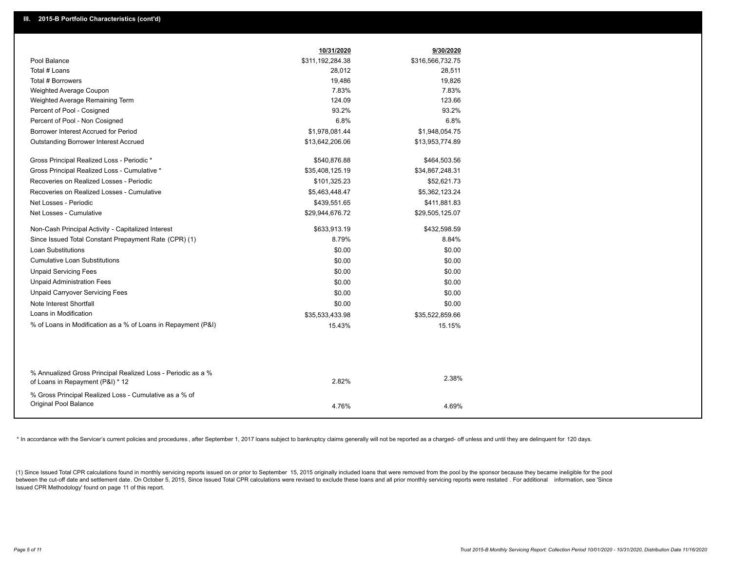|                                                                                                  | 10/31/2020       | 9/30/2020        |
|--------------------------------------------------------------------------------------------------|------------------|------------------|
| Pool Balance                                                                                     | \$311,192,284.38 | \$316,566,732.75 |
| Total # Loans                                                                                    | 28,012           | 28,511           |
| Total # Borrowers                                                                                | 19,486           | 19,826           |
| Weighted Average Coupon                                                                          | 7.83%            | 7.83%            |
| Weighted Average Remaining Term                                                                  | 124.09           | 123.66           |
| Percent of Pool - Cosigned                                                                       | 93.2%            | 93.2%            |
| Percent of Pool - Non Cosigned                                                                   | 6.8%             | 6.8%             |
| Borrower Interest Accrued for Period                                                             | \$1,978,081.44   | \$1,948,054.75   |
| Outstanding Borrower Interest Accrued                                                            | \$13,642,206.06  | \$13,953,774.89  |
| Gross Principal Realized Loss - Periodic *                                                       | \$540,876.88     | \$464,503.56     |
| Gross Principal Realized Loss - Cumulative *                                                     | \$35,408,125.19  | \$34,867,248.31  |
| Recoveries on Realized Losses - Periodic                                                         | \$101,325.23     | \$52,621.73      |
| Recoveries on Realized Losses - Cumulative                                                       | \$5,463,448.47   | \$5,362,123.24   |
| Net Losses - Periodic                                                                            | \$439,551.65     | \$411,881.83     |
| Net Losses - Cumulative                                                                          | \$29,944,676.72  | \$29,505,125.07  |
| Non-Cash Principal Activity - Capitalized Interest                                               | \$633,913.19     | \$432,598.59     |
| Since Issued Total Constant Prepayment Rate (CPR) (1)                                            | 8.79%            | 8.84%            |
| <b>Loan Substitutions</b>                                                                        | \$0.00           | \$0.00           |
| <b>Cumulative Loan Substitutions</b>                                                             | \$0.00           | \$0.00           |
| <b>Unpaid Servicing Fees</b>                                                                     | \$0.00           | \$0.00           |
| <b>Unpaid Administration Fees</b>                                                                | \$0.00           | \$0.00           |
| <b>Unpaid Carryover Servicing Fees</b>                                                           | \$0.00           | \$0.00           |
| Note Interest Shortfall                                                                          | \$0.00           | \$0.00           |
| Loans in Modification                                                                            | \$35,533,433.98  | \$35,522,859.66  |
| % of Loans in Modification as a % of Loans in Repayment (P&I)                                    | 15.43%           | 15.15%           |
|                                                                                                  |                  |                  |
| % Annualized Gross Principal Realized Loss - Periodic as a %<br>of Loans in Repayment (P&I) * 12 | 2.82%            | 2.38%            |
| % Gross Principal Realized Loss - Cumulative as a % of<br>Original Pool Balance                  |                  |                  |
|                                                                                                  | 4.76%            | 4.69%            |

\* In accordance with the Servicer's current policies and procedures, after September 1, 2017 loans subject to bankruptcy claims generally will not be reported as a charged- off unless and until they are delinquent for 120

(1) Since Issued Total CPR calculations found in monthly servicing reports issued on or prior to September 15, 2015 originally included loans that were removed from the pool by the sponsor because they became ineligible fo between the cut-off date and settlement date. On October 5, 2015, Since Issued Total CPR calculations were revised to exclude these loans and all prior monthly servicing reports were restated. For additional information, s Issued CPR Methodology' found on page 11 of this report.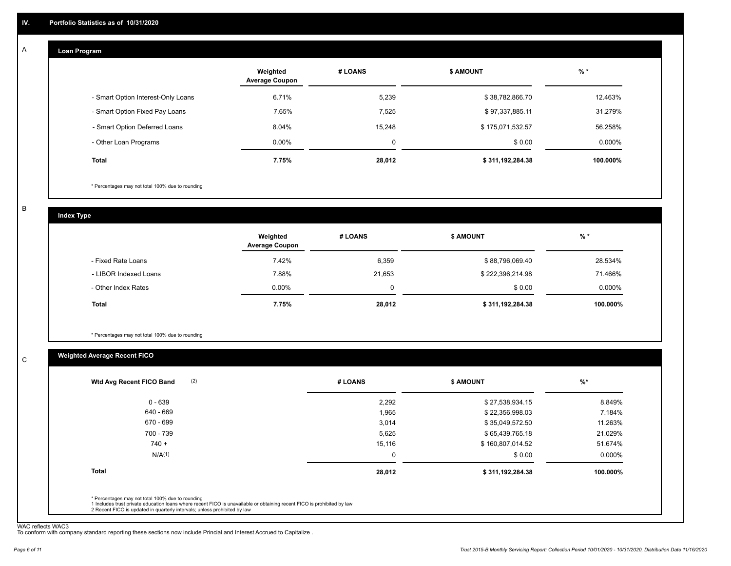#### **Loan Program**  A

|                                    | Weighted<br><b>Average Coupon</b> | # LOANS | <b>S AMOUNT</b>  | $%$ *     |
|------------------------------------|-----------------------------------|---------|------------------|-----------|
| - Smart Option Interest-Only Loans | 6.71%                             | 5,239   | \$38,782,866.70  | 12.463%   |
| - Smart Option Fixed Pay Loans     | 7.65%                             | 7,525   | \$97,337,885.11  | 31.279%   |
| - Smart Option Deferred Loans      | 8.04%                             | 15.248  | \$175,071,532.57 | 56.258%   |
| - Other Loan Programs              | $0.00\%$                          | 0       | \$0.00           | $0.000\%$ |
| <b>Total</b>                       | 7.75%                             | 28,012  | \$311,192,284.38 | 100.000%  |

\* Percentages may not total 100% due to rounding

B

C

**Index Type**

|                       | Weighted<br><b>Average Coupon</b> | # LOANS | <b>\$ AMOUNT</b> | % *       |
|-----------------------|-----------------------------------|---------|------------------|-----------|
| - Fixed Rate Loans    | 7.42%                             | 6,359   | \$88,796,069.40  | 28.534%   |
| - LIBOR Indexed Loans | 7.88%                             | 21,653  | \$222,396,214.98 | 71.466%   |
| - Other Index Rates   | $0.00\%$                          | 0       | \$0.00           | $0.000\%$ |
| <b>Total</b>          | 7.75%                             | 28,012  | \$311,192,284.38 | 100.000%  |

\* Percentages may not total 100% due to rounding

### **Weighted Average Recent FICO**

|          |                  | $\frac{9}{6}$ * |
|----------|------------------|-----------------|
| 2,292    | \$27,538,934.15  | 8.849%          |
| 1,965    | \$22,356,998.03  | 7.184%          |
| 3,014    | \$35,049,572.50  | 11.263%         |
| 5,625    | \$65,439,765.18  | 21.029%         |
| 15,116   | \$160,807,014.52 | 51.674%         |
| $\Omega$ | \$0.00           | 0.000%          |
| 28,012   | \$311,192,284.38 | 100.000%        |
|          |                  |                 |
|          |                  |                 |

WAC reflects WAC3 To conform with company standard reporting these sections now include Princial and Interest Accrued to Capitalize .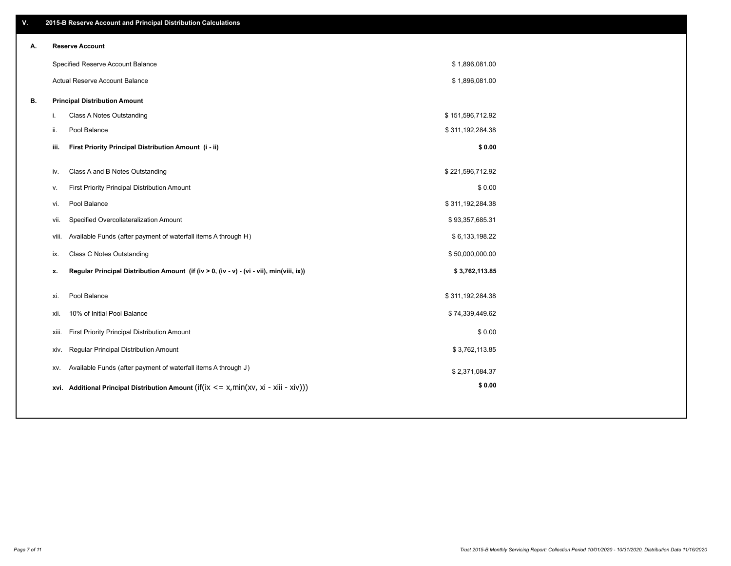| V. |      | 2015-B Reserve Account and Principal Distribution Calculations                             |                  |  |
|----|------|--------------------------------------------------------------------------------------------|------------------|--|
| А. |      | <b>Reserve Account</b>                                                                     |                  |  |
|    |      | Specified Reserve Account Balance                                                          | \$1,896,081.00   |  |
|    |      | Actual Reserve Account Balance                                                             | \$1,896,081.00   |  |
| В. |      | <b>Principal Distribution Amount</b>                                                       |                  |  |
|    | i.   | Class A Notes Outstanding                                                                  | \$151,596,712.92 |  |
|    | ii.  | Pool Balance                                                                               | \$311,192,284.38 |  |
|    | iii. | First Priority Principal Distribution Amount (i - ii)                                      | \$0.00           |  |
|    |      |                                                                                            |                  |  |
|    | iv.  | Class A and B Notes Outstanding                                                            | \$221,596,712.92 |  |
|    | v.   | First Priority Principal Distribution Amount                                               | \$0.00           |  |
|    | vi.  | Pool Balance                                                                               | \$311,192,284.38 |  |
|    |      | Specified Overcollateralization Amount<br>vii.                                             | \$93,357,685.31  |  |
|    |      | Available Funds (after payment of waterfall items A through H)<br>viii.                    | \$6,133,198.22   |  |
|    | ix.  | <b>Class C Notes Outstanding</b>                                                           | \$50,000,000.00  |  |
|    | x.   | Regular Principal Distribution Amount (if (iv > 0, (iv - v) - (vi - vii), min(viii, ix))   | \$3,762,113.85   |  |
|    |      | Pool Balance                                                                               | \$311,192,284.38 |  |
|    | xi.  |                                                                                            |                  |  |
|    | xii. | 10% of Initial Pool Balance                                                                | \$74,339,449.62  |  |
|    |      | First Priority Principal Distribution Amount<br>xiii.                                      | \$0.00           |  |
|    |      | Regular Principal Distribution Amount<br>XIV.                                              | \$3,762,113.85   |  |
|    |      | Available Funds (after payment of waterfall items A through J)<br>XV.                      | \$2,371,084.37   |  |
|    |      | xvi. Additional Principal Distribution Amount (if(ix $\lt$ = x, min(xv, xi - xiii - xiv))) | \$0.00           |  |
|    |      |                                                                                            |                  |  |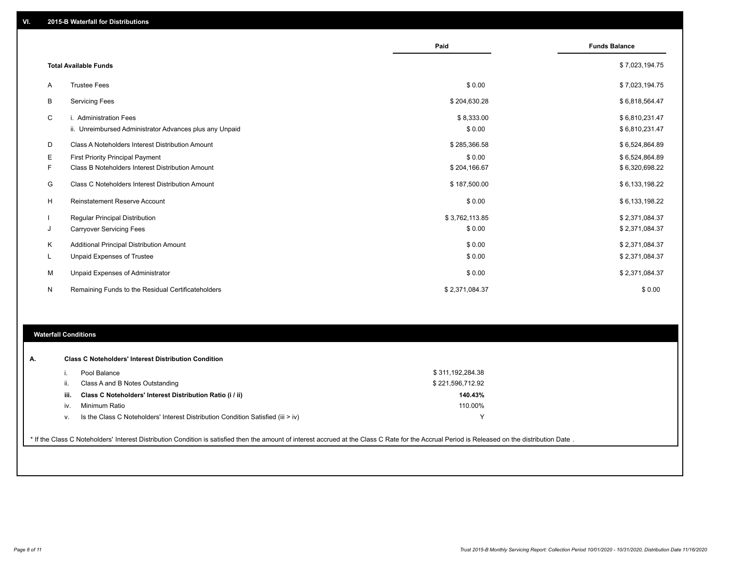|    |                                                         | Paid           | <b>Funds Balance</b> |
|----|---------------------------------------------------------|----------------|----------------------|
|    |                                                         |                |                      |
|    | <b>Total Available Funds</b>                            |                | \$7,023,194.75       |
| A  | <b>Trustee Fees</b>                                     | \$0.00         | \$7,023,194.75       |
| В  | <b>Servicing Fees</b>                                   | \$204,630.28   | \$6,818,564.47       |
| C  | i. Administration Fees                                  | \$8,333.00     | \$6,810,231.47       |
|    | ii. Unreimbursed Administrator Advances plus any Unpaid | \$0.00         | \$6,810,231.47       |
| D  | Class A Noteholders Interest Distribution Amount        | \$285,366.58   | \$6,524,864.89       |
| Е  | <b>First Priority Principal Payment</b>                 | \$0.00         | \$6,524,864.89       |
| F. | Class B Noteholders Interest Distribution Amount        | \$204,166.67   | \$6,320,698.22       |
| G  | Class C Noteholders Interest Distribution Amount        | \$187,500.00   | \$6,133,198.22       |
| Н  | <b>Reinstatement Reserve Account</b>                    | \$0.00         | \$6,133,198.22       |
|    | Regular Principal Distribution                          | \$3,762,113.85 | \$2,371,084.37       |
| J  | <b>Carryover Servicing Fees</b>                         | \$0.00         | \$2,371,084.37       |
| Κ  | Additional Principal Distribution Amount                | \$0.00         | \$2,371,084.37       |
| L. | Unpaid Expenses of Trustee                              | \$0.00         | \$2,371,084.37       |
| M  | Unpaid Expenses of Administrator                        | \$0.00         | \$2,371,084.37       |
| N  | Remaining Funds to the Residual Certificateholders      | \$2,371,084.37 | \$0.00               |

#### **Waterfall Conditions**

| А. | <b>Class C Noteholders' Interest Distribution Condition</b>                                                                                                                                     |                                                                                  |                  |  |  |  |  |  |  |
|----|-------------------------------------------------------------------------------------------------------------------------------------------------------------------------------------------------|----------------------------------------------------------------------------------|------------------|--|--|--|--|--|--|
|    |                                                                                                                                                                                                 | Pool Balance                                                                     | \$311,192,284.38 |  |  |  |  |  |  |
|    | Ш.                                                                                                                                                                                              | Class A and B Notes Outstanding                                                  | \$221,596,712.92 |  |  |  |  |  |  |
|    | iii.                                                                                                                                                                                            | Class C Noteholders' Interest Distribution Ratio (i / ii)                        | 140.43%          |  |  |  |  |  |  |
|    | İV.                                                                                                                                                                                             | Minimum Ratio                                                                    | 110.00%          |  |  |  |  |  |  |
|    | v.                                                                                                                                                                                              | Is the Class C Noteholders' Interest Distribution Condition Satisfied (iii > iv) | $\checkmark$     |  |  |  |  |  |  |
|    |                                                                                                                                                                                                 |                                                                                  |                  |  |  |  |  |  |  |
|    | * If the Class C Noteholders' Interest Distribution Condition is satisfied then the amount of interest accrued at the Class C Rate for the Accrual Period is Released on the distribution Date. |                                                                                  |                  |  |  |  |  |  |  |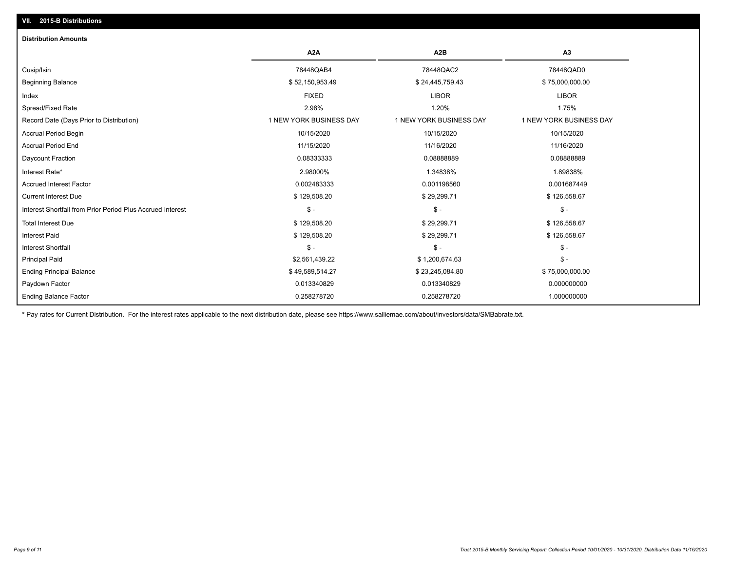| <b>Distribution Amounts</b>                                |                         |                         |                         |
|------------------------------------------------------------|-------------------------|-------------------------|-------------------------|
|                                                            | A <sub>2</sub> A        | A <sub>2</sub> B        | A3                      |
| Cusip/Isin                                                 | 78448QAB4               | 78448QAC2               | 78448QAD0               |
| <b>Beginning Balance</b>                                   | \$52,150,953.49         | \$24,445,759.43         | \$75,000,000.00         |
| Index                                                      | <b>FIXED</b>            | <b>LIBOR</b>            | <b>LIBOR</b>            |
| Spread/Fixed Rate                                          | 2.98%                   | 1.20%                   | 1.75%                   |
| Record Date (Days Prior to Distribution)                   | 1 NEW YORK BUSINESS DAY | 1 NEW YORK BUSINESS DAY | 1 NEW YORK BUSINESS DAY |
| <b>Accrual Period Begin</b>                                | 10/15/2020              | 10/15/2020              | 10/15/2020              |
| <b>Accrual Period End</b>                                  | 11/15/2020              | 11/16/2020              | 11/16/2020              |
| Daycount Fraction                                          | 0.08333333              | 0.08888889              | 0.08888889              |
| Interest Rate*                                             | 2.98000%                | 1.34838%                | 1.89838%                |
| <b>Accrued Interest Factor</b>                             | 0.002483333             | 0.001198560             | 0.001687449             |
| <b>Current Interest Due</b>                                | \$129,508.20            | \$29,299.71             | \$126,558.67            |
| Interest Shortfall from Prior Period Plus Accrued Interest | $\mathcal{S}$ -         | $\frac{1}{2}$           | $\mathcal{S}$ -         |
| <b>Total Interest Due</b>                                  | \$129,508.20            | \$29,299.71             | \$126,558.67            |
| <b>Interest Paid</b>                                       | \$129,508.20            | \$29,299.71             | \$126,558.67            |
| <b>Interest Shortfall</b>                                  | $\mathsf{\$}$ -         | \$ -                    | $$ -$                   |
| <b>Principal Paid</b>                                      | \$2,561,439.22          | \$1,200,674.63          | $$ -$                   |
| <b>Ending Principal Balance</b>                            | \$49,589,514.27         | \$23,245,084.80         | \$75,000,000.00         |
| Paydown Factor                                             | 0.013340829             | 0.013340829             | 0.000000000             |
| <b>Ending Balance Factor</b>                               | 0.258278720             | 0.258278720             | 1.000000000             |

\* Pay rates for Current Distribution. For the interest rates applicable to the next distribution date, please see https://www.salliemae.com/about/investors/data/SMBabrate.txt.

**VII. 2015-B Distributions**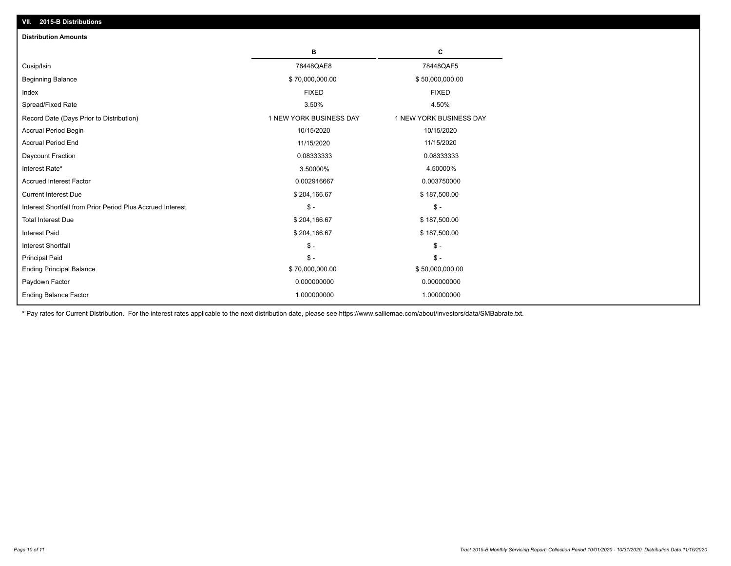| VII. 2015-B Distributions                                  |                         |                         |
|------------------------------------------------------------|-------------------------|-------------------------|
| <b>Distribution Amounts</b>                                |                         |                         |
|                                                            | в                       | C                       |
| Cusip/Isin                                                 | 78448QAE8               | 78448QAF5               |
| <b>Beginning Balance</b>                                   | \$70,000,000.00         | \$50,000,000.00         |
| Index                                                      | <b>FIXED</b>            | <b>FIXED</b>            |
| Spread/Fixed Rate                                          | 3.50%                   | 4.50%                   |
| Record Date (Days Prior to Distribution)                   | 1 NEW YORK BUSINESS DAY | 1 NEW YORK BUSINESS DAY |
| <b>Accrual Period Begin</b>                                | 10/15/2020              | 10/15/2020              |
| <b>Accrual Period End</b>                                  | 11/15/2020              | 11/15/2020              |
| Daycount Fraction                                          | 0.08333333              | 0.08333333              |
| Interest Rate*                                             | 3.50000%                | 4.50000%                |
| <b>Accrued Interest Factor</b>                             | 0.002916667             | 0.003750000             |
| <b>Current Interest Due</b>                                | \$204,166.67            | \$187,500.00            |
| Interest Shortfall from Prior Period Plus Accrued Interest | $\mathsf{\$}$ -         | $\mathsf{\$}$ -         |
| <b>Total Interest Due</b>                                  | \$204,166.67            | \$187,500.00            |
| <b>Interest Paid</b>                                       | \$204,166.67            | \$187,500.00            |
| Interest Shortfall                                         | $\mathcal{S}$ -         | $\frac{1}{2}$           |
| <b>Principal Paid</b>                                      | $\mathsf{\$}$ -         | $\mathsf{\$}$ -         |
| <b>Ending Principal Balance</b>                            | \$70,000,000.00         | \$50,000,000.00         |
| Paydown Factor                                             | 0.000000000             | 0.000000000             |
| <b>Ending Balance Factor</b>                               | 1.000000000             | 1.000000000             |

\* Pay rates for Current Distribution. For the interest rates applicable to the next distribution date, please see https://www.salliemae.com/about/investors/data/SMBabrate.txt.